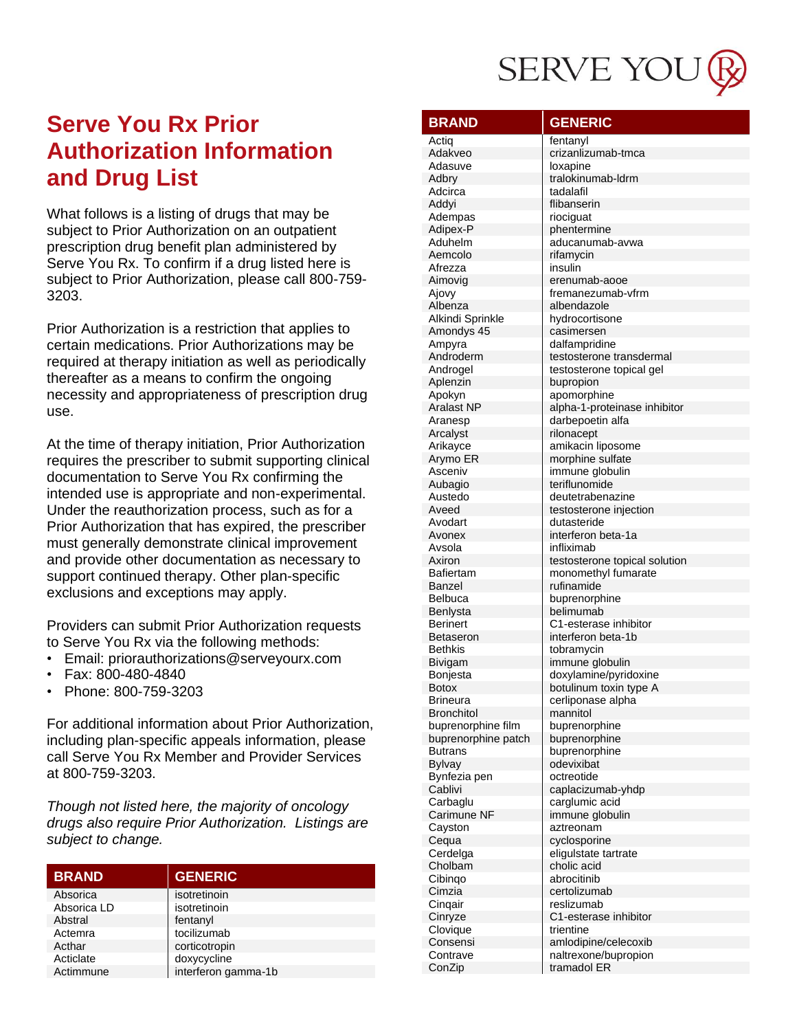

What follows is a listing of drugs that may be subject to Prior Authorization on an outpatient prescription drug benefit plan administered by Serve You Rx. To confirm if a drug listed here is subject to Prior Authorization, please call 800-759-3203.

Prior Authorization is a restriction that applies to certain medications. Prior Authorizations may be required at therapy initiation as well as periodically thereafter as a means to confirm the ongoing necessity and appropriateness of prescription drug use.

At the time of therapy initiation, Prior Authorization requires the prescriber to submit supporting clinical documentation to Serve You Rx confirming the intended use is appropriate and non-experimental. Under the reauthorization process, such as for a Prior Authorization that has expired, the prescriber must generally demonstrate clinical improvement and provide other documentation as necessary to support continued therapy. Other plan-specific exclusions and exceptions may apply.

Providers can submit Prior Authorization requests to Serve You Rx via the following methods:

- Email: priorauthorizations@serveyourx.com  $\bullet$
- Fax: 800-480-4840
- Phone: 800-759-3203

For additional information about Prior Authorization, including plan-specific appeals information, please call Serve You Rx Member and Provider Services at 800-759-3203.

Though not listed here, the majority of oncology drugs also require Prior Authorization. Listings are subject to change.

| <b>BRAND</b> | <b>GENERIC</b>      |
|--------------|---------------------|
| Absorica     | isotretinoin        |
| Absorica LD  | isotretinoin        |
| Abstral      | fentanyl            |
| Actemra      | tocilizumab         |
| Acthar       | corticotropin       |
| Acticlate    | doxycycline         |
| Actimmune    | interferon gamma-1b |

| <b>BRAND</b>                | <b>GENERIC</b>                                       |
|-----------------------------|------------------------------------------------------|
| Actiq                       | fentanyl                                             |
| Adakveo                     | crizanlizumab-tmca                                   |
| Adasuve                     | loxapine                                             |
| Adbry                       | tralokinumab-ldrm                                    |
| Adcirca<br>Addyi            | tadalafil<br>flibanserin                             |
| Adempas                     | riociguat                                            |
| Adipex-P                    | phentermine                                          |
| Aduhelm                     | aducanumab-avwa                                      |
| Aemcolo                     | rifamycin                                            |
| Afrezza                     | insulin                                              |
| Aimovia                     | erenumab-aooe                                        |
| Ajovy                       | fremanezumab-vfrm                                    |
| Albenza<br>Alkindi Sprinkle | albendazole                                          |
| Amondys 45                  | hydrocortisone<br>casimersen                         |
| Ampyra                      | dalfampridine                                        |
| Androderm                   | testosterone transdermal                             |
| Androgel                    | testosterone topical gel                             |
| Aplenzin                    | bupropion                                            |
| Apokyn                      | apomorphine                                          |
| <b>Aralast NP</b>           | alpha-1-proteinase inhibitor                         |
| Aranesp                     | darbepoetin alfa                                     |
| Arcalyst                    | rilonacept                                           |
| Arikayce<br>Arymo ER        | amikacin liposome<br>morphine sulfate                |
| Asceniv                     | immune globulin                                      |
| Aubagio                     | teriflunomide                                        |
| Austedo                     | deutetrabenazine                                     |
| Aveed                       | testosterone injection                               |
| Avodart                     | dutasteride                                          |
| Avonex                      | interferon beta-1a                                   |
| Avsola                      | infliximab                                           |
| Axiron<br>Bafiertam         | testosterone topical solution<br>monomethyl fumarate |
| Banzel                      | rufinamide                                           |
| Belbuca                     | buprenorphine                                        |
| Benlysta                    | belimumab                                            |
| <b>Berinert</b>             | C1-esterase inhibitor                                |
| <b>Betaseron</b>            | interferon beta-1b                                   |
| Bethkis                     | tobramycin                                           |
| Bivigam                     | immune globulin                                      |
| Bonjesta<br><b>Botox</b>    | doxylamine/pyridoxine<br>botulinum toxin type A      |
| <b>Brineura</b>             | cerliponase alpha                                    |
| <b>Bronchitol</b>           | mannitol                                             |
| buprenorphine film          | buprenorphine                                        |
| buprenorphine patch         | buprenorphine                                        |
| <b>Butrans</b>              | buprenorphine                                        |
| <b>Bylvay</b>               | odevixibat                                           |
| Bynfezia pen                | octreotide                                           |
| Cablivi                     | caplacizumab-yhdp                                    |
| Carbaglu<br>Carimune NF     | carglumic acid<br>immune globulin                    |
| Cayston                     | aztreonam                                            |
| Cequa                       | cyclosporine                                         |
| Cerdelga                    | eligulstate tartrate                                 |
| Cholbam                     | cholic acid                                          |
| Cibingo                     | abrocitinib                                          |
| Cimzia                      | certolizumab                                         |
| Cinqair                     | reslizumab                                           |
| Cinryze                     | C1-esterase inhibitor                                |
| Clovique                    | trientine                                            |
| Consensi<br>Contrave        | amlodipine/celecoxib<br>naltrexone/bupropion         |
| ConZip                      | tramadol ER                                          |
|                             |                                                      |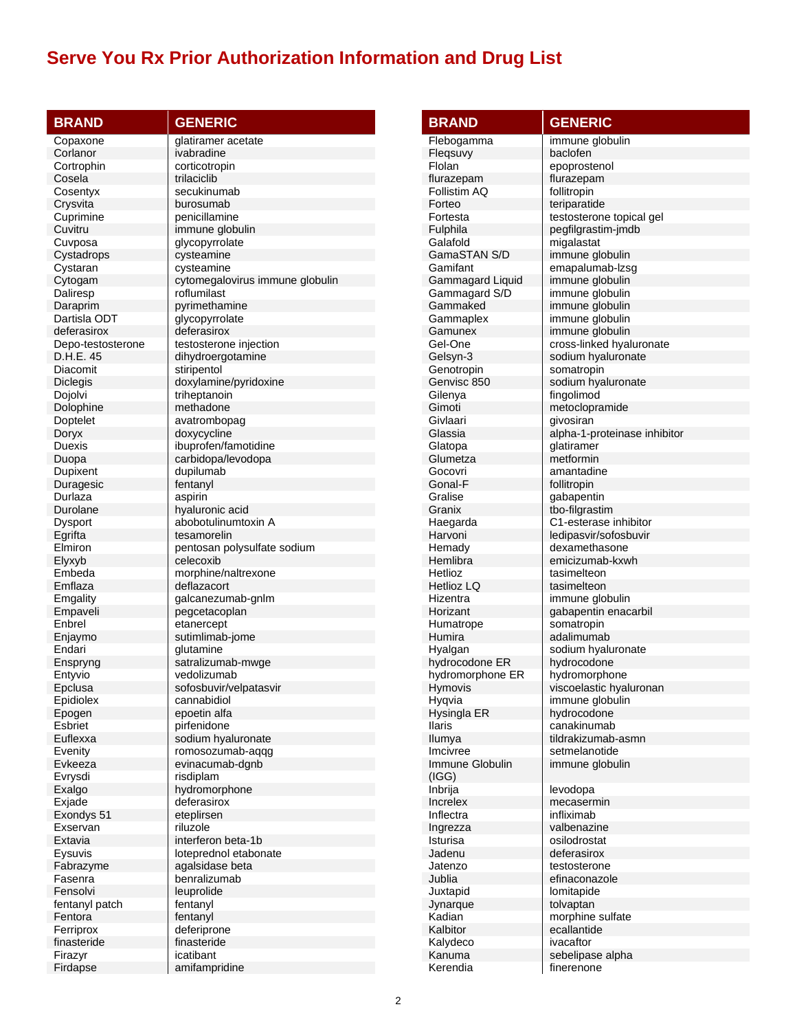| <b>BRAND</b>         | <b>GENERIC</b>                  |
|----------------------|---------------------------------|
| Copaxone             | glatiramer acetate              |
| Corlanor             | ivabradine                      |
| Cortrophin           | corticotropin                   |
| Cosela               | trilaciclib                     |
| Cosentyx             | secukinumab                     |
| Crysvita             | burosumab                       |
| Cuprimine            | penicillamine                   |
| Cuvitru              | immune globulin                 |
| Cuvposa              | glycopyrrolate                  |
| Cystadrops           | cysteamine                      |
| Cystaran             | cysteamine                      |
| Cytogam              | cytomegalovirus immune globulin |
| Daliresp             | roflumilast                     |
| Daraprim             | pyrimethamine                   |
| Dartisla ODT         | glycopyrrolate                  |
| deferasirox          | deferasirox                     |
| Depo-testosterone    | testosterone injection          |
| D.H.E. 45            | dihydroergotamine               |
| Diacomit             | stiripentol                     |
| <b>Diclegis</b>      | doxylamine/pyridoxine           |
| Dojolvi              | triheptanoin<br>methadone       |
| Dolophine            |                                 |
| Doptelet             | avatrombopag<br>doxycycline     |
| Doryx<br>Duexis      | ibuprofen/famotidine            |
| Duopa                | carbidopa/levodopa              |
| Dupixent             | dupilumab                       |
| Duragesic            | fentanyl                        |
| Durlaza              | aspirin                         |
| Durolane             | hyaluronic acid                 |
| Dysport              | abobotulinumtoxin A             |
| Egrifta              | tesamorelin                     |
| Elmiron              | pentosan polysulfate sodium     |
| Elyxyb               | celecoxib                       |
| Embeda               | morphine/naltrexone             |
| Emflaza              | deflazacort                     |
| Emgality             | galcanezumab-gnlm               |
| Empaveli             | pegcetacoplan                   |
| Enbrel               | etanercept                      |
| Enjaymo              | sutimlimab-jome                 |
| Endari               | glutamine                       |
| Enspryng             | satralizumab-mwge               |
| Entyvio              | vedolizumab                     |
| Epclusa              | sofosbuvir/velpatasvir          |
| Epidiolex            | cannabidiol                     |
| Epogen               | epoetin alfa                    |
| Esbriet              | pirfenidone                     |
| Euflexxa             | sodium hyaluronate              |
| Evenity              | romosozumab-aqqg                |
| Evkeeza              | evinacumab-dgnb<br>risdiplam    |
| Evrysdi              |                                 |
| Exalgo               | hydromorphone<br>deferasirox    |
| Exjade<br>Exondys 51 | eteplirsen                      |
| Exservan             | riluzole                        |
| Extavia              | interferon beta-1b              |
| Eysuvis              | loteprednol etabonate           |
| Fabrazyme            | agalsidase beta                 |
| Fasenra              | benralizumab                    |
| Fensolvi             | leuprolide                      |
| fentanyl patch       | fentanyl                        |
| Fentora              | fentanyl                        |
| Ferriprox            | deferiprone                     |
| finasteride          | finasteride                     |
| Firazyr              | icatibant                       |
| Firdanse             | amifampridine                   |

| <b>BRAND</b>                | <b>GENERIC</b>                              |
|-----------------------------|---------------------------------------------|
|                             |                                             |
| Flebogamma                  | immune globulin                             |
| Flegsuvy                    | baclofen                                    |
| Flolan                      | epoprostenol                                |
| flurazepam<br>Follistim AQ  | flurazepam<br>follitropin                   |
| Forteo                      | teriparatide                                |
| Fortesta                    | testosterone topical gel                    |
| Fulphila                    | pegfilgrastim-jmdb                          |
| Galafold                    | migalastat                                  |
| GamaSTAN S/D                | immune globulin                             |
| Gamifant                    | emapalumab-Izsg                             |
| Gammagard Liquid            | immune globulin                             |
| Gammagard S/D               | immune globulin                             |
| Gammaked                    | immune globulin                             |
| Gammaplex                   | immune globulin                             |
| Gamunex<br>Gel-One          | immune globulin<br>cross-linked hyaluronate |
| Gelsyn-3                    | sodium hyaluronate                          |
| Genotropin                  | somatropin                                  |
| Genvisc 850                 | sodium hyaluronate                          |
| Gilenya                     | fingolimod                                  |
| Gimoti                      | metoclopramide                              |
| Givlaari                    | aivosiran                                   |
| Glassia                     | alpha-1-proteinase inhibitor                |
| Glatopa                     | glatiramer                                  |
| Glumetza                    | metformin                                   |
| Gocovri                     | amantadine                                  |
| Gonal-F                     | follitropin                                 |
| Gralise                     | gabapentin                                  |
| Granix                      | tbo-filgrastim<br>C1-esterase inhibitor     |
| Haegarda<br>Harvoni         | ledipasvir/sofosbuvir                       |
| Hemady                      | dexamethasone                               |
| Hemlibra                    | emicizumab-kxwh                             |
| Hetlioz                     | tasimelteon                                 |
| <b>Hetlioz LQ</b>           | tasimelteon                                 |
| Hizentra                    | immune globulin                             |
| Horizant                    | gabapentin enacarbil                        |
| Humatrope                   | somatropin                                  |
| Humira                      | adalimumab                                  |
| Hyalgan                     | sodium hyaluronate                          |
| hydrocodone ER              | hydrocodone<br>hydromorphone                |
| hydromorphone ER<br>Hymovis | viscoelastic hyaluronan                     |
| Hyqvia                      | immune globulin                             |
| Hysingla ER                 | hydrocodone                                 |
| Ilaris                      | canakinumab                                 |
| Ilumya                      | tildrakizumab-asmn                          |
| Imcivree                    | setmelanotide                               |
| Immune Globulin             | immune globulin                             |
| (IGG)                       |                                             |
| Inbrija                     | levodopa                                    |
| Increlex                    | mecasermin                                  |
| Inflectra                   | infliximab                                  |
| Ingrezza<br>Isturisa        | valbenazine<br>osilodrostat                 |
| Jadenu                      | deferasirox                                 |
| Jatenzo                     | testosterone                                |
| Jublia                      | efinaconazole                               |
| Juxtapid                    | lomitapide                                  |
| Jynarque                    | tolvaptan                                   |
| Kadian                      | morphine sulfate                            |
| Kalbitor                    | ecallantide                                 |
| Kalydeco                    | ivacaftor                                   |
| Kanuma                      | sebelipase alpha                            |
| Kerendia                    | finerenone                                  |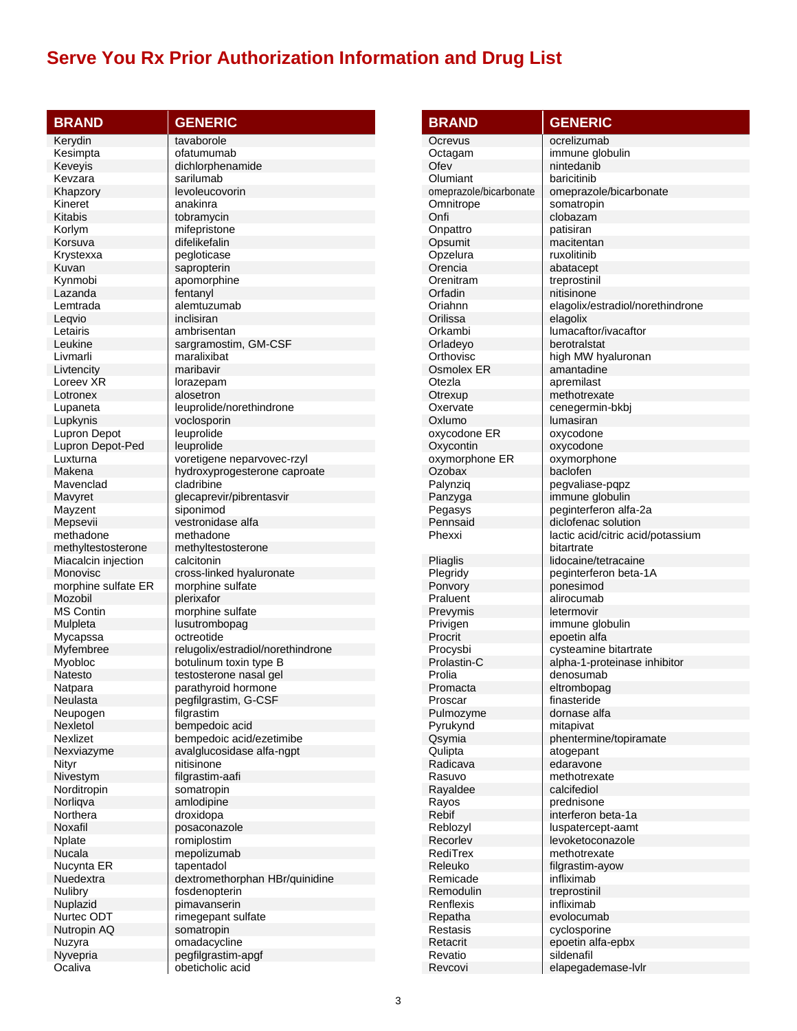| <b>BRAND</b>            | <b>GENERIC</b>                               |
|-------------------------|----------------------------------------------|
| Kerydin                 | tavaborole                                   |
| Kesimpta                | ofatumumab                                   |
| Keveyis                 | dichlorphenamide                             |
| Kevzara                 | sarilumab                                    |
| Khapzory                | levoleucovorin                               |
| Kineret                 | anakinra                                     |
| Kitabis                 | tobramycin                                   |
| Korlym                  | mifepristone                                 |
| Korsuva                 | difelikefalin                                |
| Krystexxa               | pegloticase                                  |
| Kuvan                   | sapropterin                                  |
| Kynmobi                 | apomorphine                                  |
| Lazanda                 | fentanyl                                     |
| Lemtrada                | alemtuzumab                                  |
| Leqvio                  | inclisiran                                   |
| Letairis                | ambrisentan                                  |
| Leukine                 | sargramostim, GM-CSF                         |
| Livmarli                | maralixibat                                  |
| Livtencity              | maribavir                                    |
| Loreev XR               | lorazepam                                    |
| Lotronex                | alosetron                                    |
| Lupaneta                | leuprolide/norethindrone                     |
| Lupkynis                | voclosporin                                  |
| Lupron Depot            | leuprolide                                   |
| Lupron Depot-Ped        | leuprolide                                   |
| Luxturna                | voretigene neparvovec-rzyl                   |
| Makena                  | hydroxyprogesterone caproate                 |
| Mavenclad               | cladribine                                   |
| Mavyret                 | glecaprevir/pibrentasvir                     |
| Mayzent                 | siponimod                                    |
| Mepsevii                | vestronidase alfa                            |
| methadone               | methadone                                    |
| methyltestosterone      | methyltestosterone                           |
| Miacalcin injection     | calcitonin                                   |
| Monovisc                | cross-linked hyaluronate                     |
| morphine sulfate ER     | morphine sulfate                             |
| Mozobil                 | plerixafor                                   |
| <b>MS Contin</b>        | morphine sulfate                             |
| Mulpleta                | lusutrombopag                                |
| Mycapssa                | octreotide                                   |
| Myfembree               | relugolix/estradiol/norethindrone            |
| Myobloc                 | botulinum toxin type B                       |
| Natesto                 | testosterone nasal gel                       |
| Natpara                 | parathyroid hormone                          |
| Neulasta                | pegfilgrastim, G-CSF                         |
| Neupogen                | filgrastim                                   |
| Nexletol                | bempedoic acid                               |
| Nexlizet                | bempedoic acid/ezetimibe                     |
| Nexviazyme              | avalglucosidase alfa-ngpt                    |
| Nityr                   | nitisinone                                   |
| Nivestym                | filgrastim-aafi                              |
| Norditropin             | somatropin                                   |
| Norliqva<br>Northera    | amlodipine<br>droxidopa                      |
| Noxafil                 | posaconazole                                 |
| Nplate                  |                                              |
| Nucala                  | romiplostim                                  |
|                         | mepolizumab                                  |
| Nucynta ER<br>Nuedextra | tapentadol<br>dextromethorphan HBr/quinidine |
| Nulibry                 | fosdenopterin                                |
| Nuplazid                | pimavanserin                                 |
| Nurtec ODT              | rimegepant sulfate                           |
| Nutropin AQ             | somatropin                                   |
| Nuzyra                  | omadacycline                                 |
| Nyvepria                | pegfilgrastim-apgf                           |
| Ocaliva                 | obeticholic acid                             |
|                         |                                              |

| <b>BRAND</b>           | <b>GENERIC</b>                     |
|------------------------|------------------------------------|
| Ocrevus                | ocrelizumab                        |
| Octagam                | immune globulin                    |
| Ofev                   | nintedanib                         |
| Olumiant               | baricitinib                        |
| omeprazole/bicarbonate | omeprazole/bicarbonate             |
| Omnitrope              | somatropin                         |
| Onfi                   | clobazam                           |
| Onpattro               | patisiran                          |
| Opsumit                | macitentan                         |
| Opzelura<br>Orencia    | ruxolitinib                        |
| Orenitram              | abatacept<br>treprostinil          |
| Orfadin                | nitisinone                         |
| Oriahnn                | elagolix/estradiol/norethindrone   |
| Orilissa               | elagolix                           |
| Orkambi                | lumacaftor/ivacaftor               |
| Orladeyo               | berotralstat                       |
| Orthovisc              | high MW hyaluronan                 |
| Osmolex ER             | amantadine                         |
| Otezla                 | apremilast                         |
| Otrexup                | methotrexate                       |
| Oxervate               | cenegermin-bkbj                    |
| Oxlumo<br>oxycodone ER | lumasiran<br>oxycodone             |
| Oxycontin              | oxycodone                          |
| oxymorphone ER         | oxymorphone                        |
| Ozobax                 | baclofen                           |
| Palynziq               | pegvaliase-pqpz                    |
| Panzyga                | immune globulin                    |
| Pegasys                | peginterferon alfa-2a              |
| Pennsaid               | diclofenac solution                |
| Phexxi                 | lactic acid/citric acid/potassium  |
|                        | bitartrate                         |
| Pliaglis               | lidocaine/tetracaine               |
| Plegridy<br>Ponvory    | peginterferon beta-1A<br>ponesimod |
| Praluent               | alirocumab                         |
| Prevymis               | letermovir                         |
| Privigen               | immune globulin                    |
| Procrit                | epoetin alfa                       |
| Procysbi               | cysteamine bitartrate              |
| Prolastin-C            | alpha-1-proteinase inhibitor       |
| Prolia                 | denosumab                          |
| Promacta               | eltrombopag                        |
| Proscar                | finasteride                        |
| Pulmozyme<br>Pyrukynd  | dornase alfa<br>mitapivat          |
| Qsymia                 | phentermine/topiramate             |
| Qulipta                | atogepant                          |
| Radicava               | edaravone                          |
| Rasuvo                 | methotrexate                       |
| Rayaldee               | calcifediol                        |
| Rayos                  | prednisone                         |
| Rebif                  | interferon beta-1a                 |
| Reblozyl               | luspatercept-aamt                  |
| Recorlev               | levoketoconazole                   |
| RediTrex               | methotrexate                       |
| Releuko<br>Remicade    | filgrastim-ayow<br>infliximab      |
| Remodulin              | treprostinil                       |
| Renflexis              | infliximab                         |
| Repatha                | evolocumab                         |
| Restasis               | cyclosporine                       |
| Retacrit               | epoetin alfa-epbx                  |
| Revatio                | sildenafil                         |
| Revcovi                | elapegademase-lvlr                 |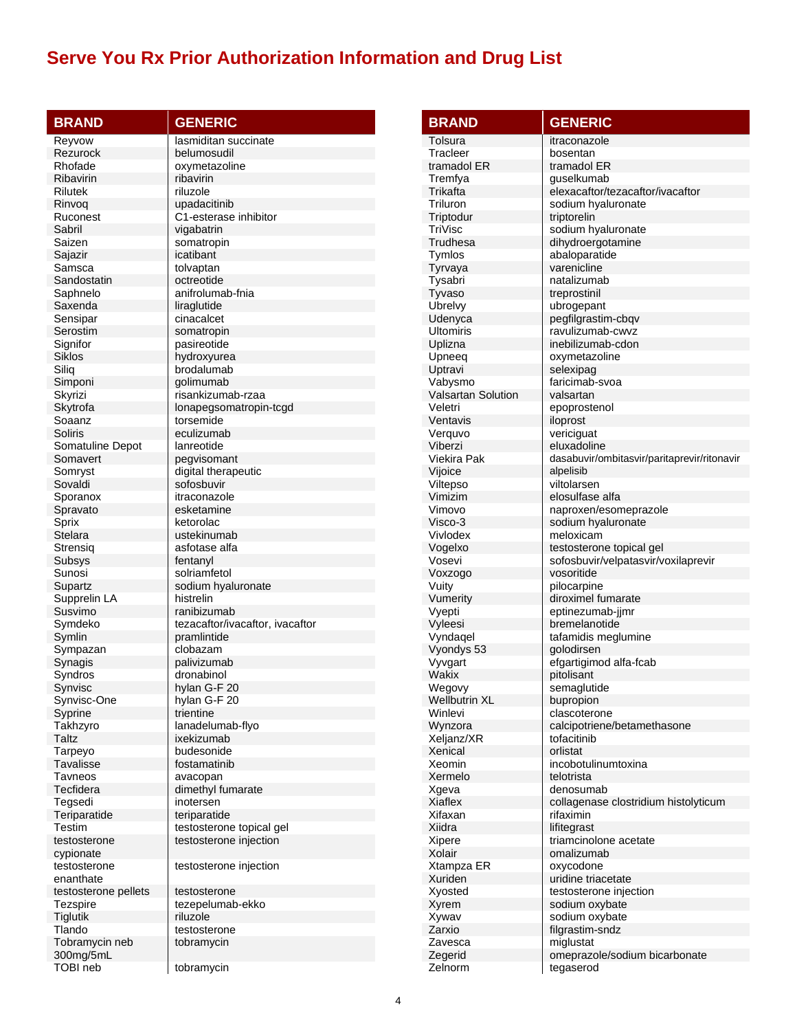| <b>BRAND</b>           | <b>GENERIC</b>                           |
|------------------------|------------------------------------------|
| Reyvow                 | lasmiditan succinate                     |
| Rezurock               | belumosudil                              |
| Rhofade                | oxymetazoline                            |
| Ribavirin              | ribavirin                                |
| Rilutek                | riluzole                                 |
| Rinvoq                 | upadacitinib                             |
| Ruconest<br>Sabril     | C1-esterase inhibitor                    |
| Saizen                 | vigabatrin<br>somatropin                 |
| Sajazir                | icatibant                                |
| Samsca                 | tolvaptan                                |
| Sandostatin            | octreotide                               |
| Saphnelo               | anifrolumab-fnia                         |
| Saxenda                | liraglutide                              |
| Sensipar               | cinacalcet                               |
| Serostim               | somatropin                               |
| Signifor               | pasireotide                              |
| Siklos                 | hydroxyurea                              |
| Siliq                  | brodalumab<br>qolimumab                  |
| Simponi<br>Skyrizi     | risankizumab-rzaa                        |
| Skytrofa               | lonapegsomatropin-tcgd                   |
| Soaanz                 | torsemide                                |
| Soliris                | eculizumab                               |
| Somatuline Depot       | lanreotide                               |
| Somavert               | pegvisomant                              |
| Somryst                | digital therapeutic                      |
| Sovaldi                | sofosbuvir                               |
| Sporanox               | itraconazole                             |
| Spravato               | esketamine                               |
| Sprix<br>Stelara       | ketorolac<br>ustekinumab                 |
| Strensig               | asfotase alfa                            |
| Subsys                 | fentanyl                                 |
| Sunosi                 | solriamfetol                             |
| Supartz                | sodium hyaluronate                       |
| Supprelin LA           | histrelin                                |
| Susvimo                | ranibizumab                              |
| Symdeko                | tezacaftor/ivacaftor, ivacaftor          |
| Symlin                 | pramlintide                              |
| Sympazan               | clobazam                                 |
| Synagis                | palivizumab                              |
| Syndros<br>Synvisc     | dronabinol<br>hylan G-F 20               |
| Synvisc-One            | hylan G-F 20                             |
| Syprine                | trientine                                |
| Takhzyro               | lanadelumab-flyo                         |
| Taltz                  | ixekizumab                               |
| Tarpeyo                | budesonide                               |
| Tavalisse              | fostamatinib                             |
| Tavneos                | avacopan                                 |
| Tecfidera              | dimethyl fumarate                        |
| Tegsedi                | inotersen                                |
| Teriparatide<br>Testim | teriparatide<br>testosterone topical gel |
| testosterone           | testosterone injection                   |
| cypionate              |                                          |
| testosterone           | testosterone injection                   |
| enanthate              |                                          |
| testosterone pellets   | testosterone                             |
| Tezspire               | tezepelumab-ekko                         |
| Tiglutik               | riluzole                                 |
| Tlando                 | testosterone                             |
| Tobramycin neb         | tobramycin                               |
| 300mg/5mL<br>TOBI neb  | tobramycin                               |
|                        |                                          |

| <b>BRAND</b>                   | <b>GENERIC</b>                                    |
|--------------------------------|---------------------------------------------------|
| Tolsura                        | itraconazole                                      |
| Tracleer                       | bosentan                                          |
| tramadol ER                    | tramadol ER                                       |
| Tremfya                        | quselkumab                                        |
| Trikafta                       | elexacaftor/tezacaftor/ivacaftor                  |
| Triluron                       | sodium hyaluronate                                |
| Triptodur                      | triptorelin                                       |
| TriVisc<br>Trudhesa            | sodium hyaluronate                                |
| Tymlos                         | dihydroergotamine<br>abaloparatide                |
| Tyrvaya                        | varenicline                                       |
| Tysabri                        | natalizumab                                       |
| Tyvaso                         | treprostinil                                      |
| Ubrelvy                        | ubrogepant                                        |
| Udenyca                        | pegfilgrastim-cbqv                                |
| Ultomiris                      | ravulizumab-cwvz                                  |
| Uplizna                        | inebilizumab-cdon                                 |
| Upneeq<br>Uptravi              | oxymetazoline<br>selexipag                        |
| Vabysmo                        | faricimab-svoa                                    |
| <b>Valsartan Solution</b>      | valsartan                                         |
| Veletri                        | epoprostenol                                      |
| Ventavis                       | iloprost                                          |
| Verquvo                        | vericiguat                                        |
| Viberzi                        | eluxadoline                                       |
| Viekira Pak                    | dasabuvir/ombitasvir/paritaprevir/ritonavir       |
| Vijoice                        | alpelisib<br>viltolarsen                          |
| Viltepso<br>Vimizim            | elosulfase alfa                                   |
| Vimovo                         | naproxen/esomeprazole                             |
| Visco-3                        | sodium hyaluronate                                |
| Vivlodex                       | meloxicam                                         |
| Vogelxo                        | testosterone topical gel                          |
| Vosevi                         | sofosbuvir/velpatasvir/voxilaprevir               |
| Voxzogo                        | vosoritide                                        |
| Vuity<br>Vumerity              | pilocarpine<br>diroximel fumarate                 |
| Vyepti                         | eptinezumab-jimr                                  |
| Vyleesi                        | bremelanotide                                     |
| Vyndagel                       | tafamidis meglumine                               |
| Vyondys 53                     | golodirsen                                        |
| Vyvgart                        | efgartigimod alfa-fcab                            |
| Wakix                          | pitolisant                                        |
| Wegovy<br><b>Wellbutrin XL</b> | semaglutide<br>bupropion                          |
| Winlevi                        | clascoterone                                      |
| Wynzora                        | calcipotriene/betamethasone                       |
| Xeljanz/XR                     | tofacitinib                                       |
| Xenical                        | orlistat                                          |
| Xeomin                         | incobotulinumtoxina                               |
| Xermelo                        | telotrista                                        |
| Xgeva<br><b>Xiaflex</b>        | denosumab<br>collagenase clostridium histolyticum |
| Xifaxan                        | rifaximin                                         |
| Xiidra                         | lifitegrast                                       |
| Xipere                         | triamcinolone acetate                             |
| Xolair                         | omalizumab                                        |
| Xtampza ER                     | oxycodone                                         |
| Xuriden                        | uridine triacetate                                |
| Xyosted                        | testosterone injection                            |
| Xyrem                          | sodium oxybate                                    |
| Xywav<br>Zarxio                | sodium oxybate<br>filgrastim-sndz                 |
| Zavesca                        | miglustat                                         |
| Zegerid                        | omeprazole/sodium bicarbonate                     |
| Zelnorm                        | tegaserod                                         |
|                                |                                                   |